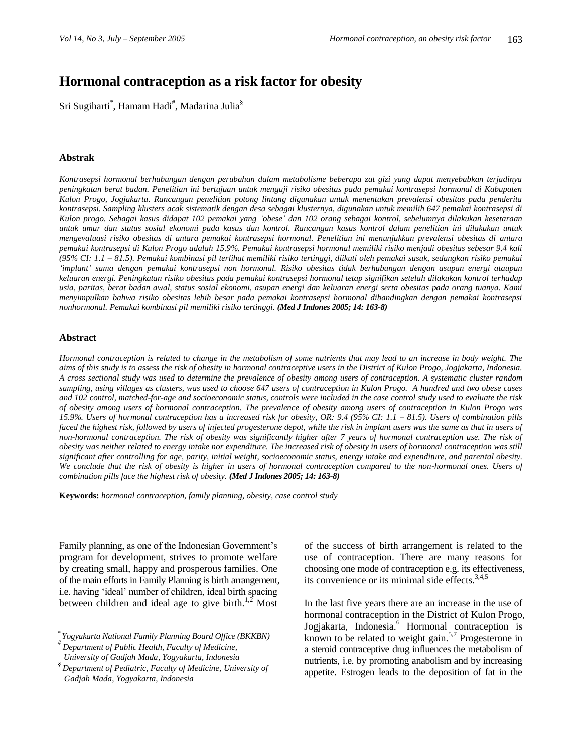# **Hormonal contraception as a risk factor for obesity**

Sri Sugiharti $\degree$ , Hamam Hadi $\degree$ , Madarina Julia $\degree$ 

### **Abstrak**

*Kontrasepsi hormonal berhubungan dengan perubahan dalam metabolisme beberapa zat gizi yang dapat menyebabkan terjadinya peningkatan berat badan. Penelitian ini bertujuan untuk menguji risiko obesitas pada pemakai kontrasepsi hormonal di Kabupaten Kulon Progo, Jogjakarta. Rancangan penelitian potong lintang digunakan untuk menentukan prevalensi obesitas pada penderita kontrasepsi. Sampling klusters acak sistematik dengan desa sebagai klusternya, digunakan untuk memilih 647 pemakai kontrasepsi di Kulon progo. Sebagai kasus didapat 102 pemakai yang 'obese' dan 102 orang sebagai kontrol, sebelumnya dilakukan kesetaraan untuk umur dan status sosial ekonomi pada kasus dan kontrol. Rancangan kasus kontrol dalam penelitian ini dilakukan untuk mengevaluasi risiko obesitas di antara pemakai kontrasepsi hormonal. Penelitian ini menunjukkan prevalensi obesitas di antara pemakai kontrasepsi di Kulon Progo adalah 15.9%. Pemakai kontrasepsi hormonal memiliki risiko menjadi obesitas sebesar 9.4 kali (95% CI: 1.1 – 81.5). Pemakai kombinasi pil terlihat memiliki risiko tertinggi, diikuti oleh pemakai susuk, sedangkan risiko pemakai 'implant' sama dengan pemakai kontrasepsi non hormonal. Risiko obesitas tidak berhubungan dengan asupan energi ataupun keluaran energi. Peningkatan risiko obesitas pada pemakai kontrasepsi hormonal tetap signifikan setelah dilakukan kontrol terhadap usia, paritas, berat badan awal, status sosial ekonomi, asupan energi dan keluaran energi serta obesitas pada orang tuanya. Kami menyimpulkan bahwa risiko obesitas lebih besar pada pemakai kontrasepsi hormonal dibandingkan dengan pemakai kontrasepsi nonhormonal. Pemakai kombinasi pil memiliki risiko tertinggi. (Med J Indones 2005; 14: 163-8)*

#### **Abstract**

*Hormonal contraception is related to change in the metabolism of some nutrients that may lead to an increase in body weight. The aims of this study is to assess the risk of obesity in hormonal contraceptive users in the District of Kulon Progo, Jogjakarta, Indonesia. A cross sectional study was used to determine the prevalence of obesity among users of contraception. A systematic cluster random sampling, using villages as clusters, was used to choose 647 users of contraception in Kulon Progo. A hundred and two obese cases and 102 control, matched-for-age and socioeconomic status, controls were included in the case control study used to evaluate the risk of obesity among users of hormonal contraception. The prevalence of obesity among users of contraception in Kulon Progo was 15.9%. Users of hormonal contraception has a increased risk for obesity, OR: 9.4 (95% CI: 1.1 – 81.5). Users of combination pills*  faced the highest risk, followed by users of injected progesterone depot, while the risk in implant users was the same as that in users of *non-hormonal contraception. The risk of obesity was significantly higher after 7 years of hormonal contraception use. The risk of obesity was neither related to energy intake nor expenditure. The increased risk of obesity in users of hormonal contraception was still significant after controlling for age, parity, initial weight, socioeconomic status, energy intake and expenditure, and parental obesity. We conclude that the risk of obesity is higher in users of hormonal contraception compared to the non-hormonal ones. Users of combination pills face the highest risk of obesity. (Med J Indones 2005; 14: 163-8)*

**Keywords:** *hormonal contraception, family planning, obesity, case control study*

Family planning, as one of the Indonesian Government's program for development, strives to promote welfare by creating small, happy and prosperous families. One of the main efforts in Family Planning is birth arrangement, i.e. having 'ideal' number of children, ideal birth spacing between children and ideal age to give birth.<sup>1,2</sup> Most

of the success of birth arrangement is related to the use of contraception. There are many reasons for choosing one mode of contraception e.g. its effectiveness, its convenience or its minimal side effects. $3,4,5$ 

In the last five years there are an increase in the use of hormonal contraception in the District of Kulon Progo, Jogjakarta, Indonesia.<sup>6</sup> Hormonal contraception is known to be related to weight gain.<sup>5,7</sup> Progesterone in a steroid contraceptive drug influences the metabolism of nutrients, i.e. by promoting anabolism and by increasing appetite. Estrogen leads to the deposition of fat in the

*<sup>\*</sup> Yogyakarta National Family Planning Board Office (BKKBN)*

*<sup>#</sup> Department of Public Health, Faculty of Medicine, University of Gadjah Mada, Yogyakarta, Indonesia*

*<sup>§</sup> Department of Pediatric, Faculty of Medicine, University of Gadjah Mada, Yogyakarta, Indonesia*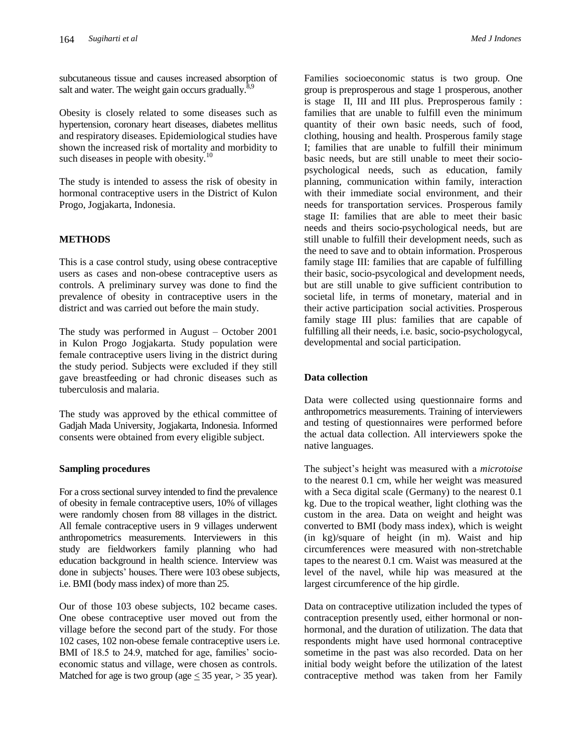subcutaneous tissue and causes increased absorption of salt and water. The weight gain occurs gradually. $\delta$ 

Obesity is closely related to some diseases such as hypertension, coronary heart diseases, diabetes mellitus and respiratory diseases. Epidemiological studies have shown the increased risk of mortality and morbidity to such diseases in people with obesity. $10$ 

The study is intended to assess the risk of obesity in hormonal contraceptive users in the District of Kulon Progo, Jogjakarta, Indonesia.

## **METHODS**

This is a case control study, using obese contraceptive users as cases and non-obese contraceptive users as controls. A preliminary survey was done to find the prevalence of obesity in contraceptive users in the district and was carried out before the main study.

The study was performed in August – October 2001 in Kulon Progo Jogjakarta. Study population were female contraceptive users living in the district during the study period. Subjects were excluded if they still gave breastfeeding or had chronic diseases such as tuberculosis and malaria.

The study was approved by the ethical committee of Gadjah Mada University, Jogjakarta, Indonesia. Informed consents were obtained from every eligible subject.

## **Sampling procedures**

For a cross sectional survey intended to find the prevalence of obesity in female contraceptive users, 10% of villages were randomly chosen from 88 villages in the district. All female contraceptive users in 9 villages underwent anthropometrics measurements. Interviewers in this study are fieldworkers family planning who had education background in health science. Interview was done in subjects' houses. There were 103 obese subjects, i.e. BMI (body mass index) of more than 25.

Our of those 103 obese subjects, 102 became cases. One obese contraceptive user moved out from the village before the second part of the study. For those 102 cases, 102 non-obese female contraceptive users i.e. BMI of 18.5 to 24.9, matched for age, families' socioeconomic status and village, were chosen as controls. Matched for age is two group (age  $<$  35 year,  $>$  35 year).

Families socioeconomic status is two group. One group is preprosperous and stage 1 prosperous, another is stage II, III and III plus. Preprosperous family : families that are unable to fulfill even the minimum quantity of their own basic needs, such of food, clothing, housing and health. Prosperous family stage I; families that are unable to fulfill their minimum basic needs, but are still unable to meet their sociopsychological needs, such as education, family planning, communication within family, interaction with their immediate social environment, and their needs for transportation services. Prosperous family stage II: families that are able to meet their basic needs and theirs socio-psychological needs, but are still unable to fulfill their development needs, such as the need to save and to obtain information. Prosperous family stage III: families that are capable of fulfilling their basic, socio-psycological and development needs, but are still unable to give sufficient contribution to societal life, in terms of monetary, material and in their active participation social activities. Prosperous family stage III plus: families that are capable of fulfilling all their needs, i.e. basic, socio-psychologycal, developmental and social participation.

## **Data collection**

Data were collected using questionnaire forms and anthropometrics measurements. Training of interviewers and testing of questionnaires were performed before the actual data collection. All interviewers spoke the native languages.

The subject's height was measured with a *microtoise*  to the nearest 0.1 cm, while her weight was measured with a Seca digital scale (Germany) to the nearest 0.1 kg. Due to the tropical weather, light clothing was the custom in the area. Data on weight and height was converted to BMI (body mass index), which is weight (in kg)/square of height (in m). Waist and hip circumferences were measured with non-stretchable tapes to the nearest 0.1 cm. Waist was measured at the level of the navel, while hip was measured at the largest circumference of the hip girdle.

Data on contraceptive utilization included the types of contraception presently used, either hormonal or nonhormonal, and the duration of utilization. The data that respondents might have used hormonal contraceptive sometime in the past was also recorded. Data on her initial body weight before the utilization of the latest contraceptive method was taken from her Family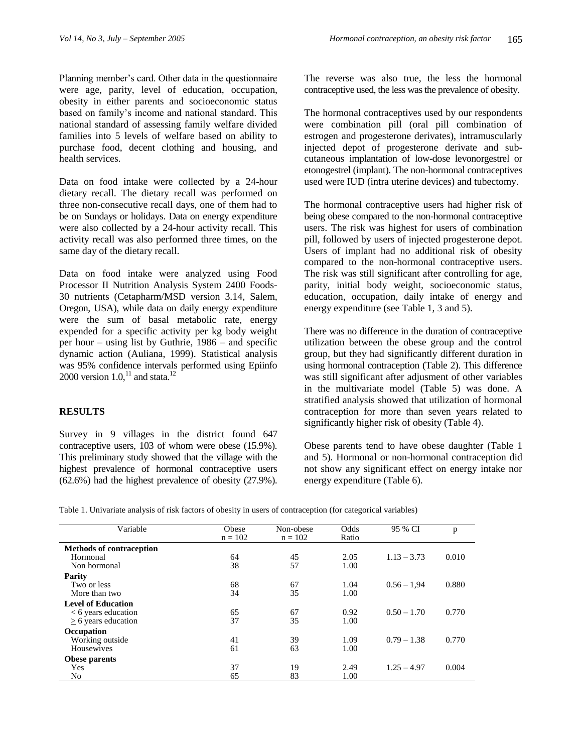Planning member's card. Other data in the questionnaire were age, parity, level of education, occupation, obesity in either parents and socioeconomic status based on family's income and national standard. This national standard of assessing family welfare divided families into 5 levels of welfare based on ability to purchase food, decent clothing and housing, and health services.

Data on food intake were collected by a 24-hour dietary recall. The dietary recall was performed on three non-consecutive recall days, one of them had to be on Sundays or holidays. Data on energy expenditure were also collected by a 24-hour activity recall. This activity recall was also performed three times, on the same day of the dietary recall.

Data on food intake were analyzed using Food Processor II Nutrition Analysis System 2400 Foods-30 nutrients (Cetapharm/MSD version 3.14, Salem, Oregon, USA), while data on daily energy expenditure were the sum of basal metabolic rate, energy expended for a specific activity per kg body weight per hour – using list by Guthrie, 1986 – and specific dynamic action (Auliana, 1999). Statistical analysis was 95% confidence intervals performed using Epiinfo 2000 version  $1.0$ ,  $^{11}$  and stata.<sup>12</sup>

## **RESULTS**

Survey in 9 villages in the district found 647 contraceptive users, 103 of whom were obese (15.9%). This preliminary study showed that the village with the highest prevalence of hormonal contraceptive users (62.6%) had the highest prevalence of obesity (27.9%).

The reverse was also true, the less the hormonal contraceptive used, the less was the prevalence of obesity.

The hormonal contraceptives used by our respondents were combination pill (oral pill combination of estrogen and progesterone derivates), intramuscularly injected depot of progesterone derivate and subcutaneous implantation of low-dose levonorgestrel or etonogestrel (implant). The non-hormonal contraceptives used were IUD (intra uterine devices) and tubectomy.

The hormonal contraceptive users had higher risk of being obese compared to the non-hormonal contraceptive users. The risk was highest for users of combination pill, followed by users of injected progesterone depot. Users of implant had no additional risk of obesity compared to the non-hormonal contraceptive users. The risk was still significant after controlling for age, parity, initial body weight, socioeconomic status, education, occupation, daily intake of energy and energy expenditure (see Table 1, 3 and 5).

There was no difference in the duration of contraceptive utilization between the obese group and the control group, but they had significantly different duration in using hormonal contraception (Table 2). This difference was still significant after adjusment of other variables in the multivariate model (Table 5) was done. A stratified analysis showed that utilization of hormonal contraception for more than seven years related to significantly higher risk of obesity (Table 4).

Obese parents tend to have obese daughter (Table 1 and 5). Hormonal or non-hormonal contraception did not show any significant effect on energy intake nor energy expenditure (Table 6).

| Table 1. Univariate analysis of risk factors of obesity in users of contraception (for categorical variables) |  |  |
|---------------------------------------------------------------------------------------------------------------|--|--|
|                                                                                                               |  |  |

| Variable                        | Obese     | Non-obese | Odds  | 95 % CI       | p     |
|---------------------------------|-----------|-----------|-------|---------------|-------|
|                                 | $n = 102$ | $n = 102$ | Ratio |               |       |
| <b>Methods of contraception</b> |           |           |       |               |       |
| Hormonal                        | 64        | 45        | 2.05  | $1.13 - 3.73$ | 0.010 |
| Non hormonal                    | 38        | 57        | 1.00  |               |       |
| Parity                          |           |           |       |               |       |
| Two or less                     | 68        | 67        | 1.04  | $0.56 - 1.94$ | 0.880 |
| More than two                   | 34        | 35        | 1.00  |               |       |
| <b>Level of Education</b>       |           |           |       |               |       |
| $< 6$ years education           | 65        | 67        | 0.92  | $0.50 - 1.70$ | 0.770 |
| $> 6$ years education           | 37        | 35        | 1.00  |               |       |
| <b>Occupation</b>               |           |           |       |               |       |
| Working outside                 | 41        | 39        | 1.09  | $0.79 - 1.38$ | 0.770 |
| Housewives                      | 61        | 63        | 1.00  |               |       |
| Obese parents                   |           |           |       |               |       |
| <b>Yes</b>                      | 37        | 19        | 2.49  | $1.25 - 4.97$ | 0.004 |
| No                              | 65        | 83        | 1.00  |               |       |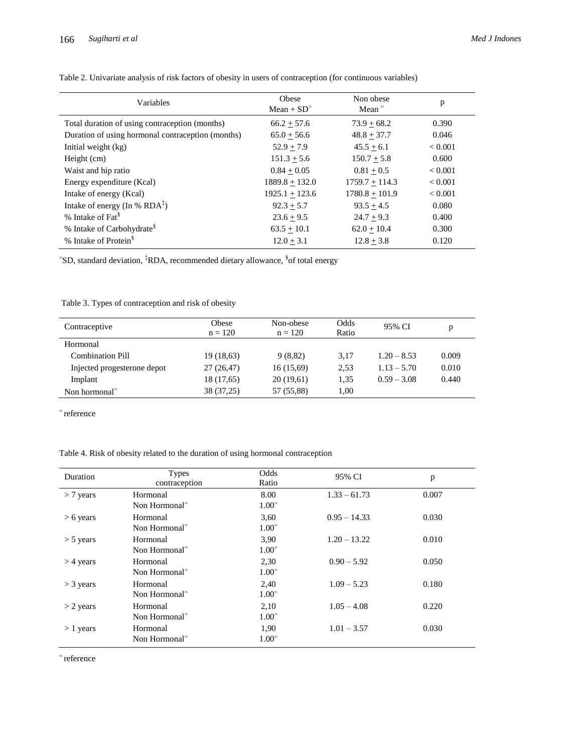| Variables                                         | Obese<br>$Mean + SD^=$ | Non obese<br>Mean $=$ | p              |
|---------------------------------------------------|------------------------|-----------------------|----------------|
| Total duration of using contraception (months)    | $66.2 + 57.6$          | $73.9 + 68.2$         | 0.390          |
| Duration of using hormonal contraception (months) | $65.0 + 56.6$          | $48.8 + 37.7$         | 0.046          |
| Initial weight (kg)                               | $52.9 + 7.9$           | $45.5 + 6.1$          | ${}_{< 0.001}$ |
| Height (cm)                                       | $151.3 + 5.6$          | $150.7 + 5.8$         | 0.600          |
| Waist and hip ratio                               | $0.84 + 0.05$          | $0.81 + 0.5$          | ${}_{< 0.001}$ |
| Energy expenditure (Kcal)                         | $1889.8 + 132.0$       | $1759.7 + 114.3$      | ${}< 0.001$    |
| Intake of energy (Kcal)                           | $1925.1 + 123.6$       | $1780.8 + 101.9$      | ${}_{< 0.001}$ |
| Intake of energy (In % $RDA^{\ddagger}$ )         | $92.3 + 5.7$           | $93.5 + 4.5$          | 0.080          |
| % Intake of Fat <sup>§</sup>                      | $23.6 + 9.5$           | $24.7 + 9.3$          | 0.400          |
| % Intake of Carbohydrate <sup>§</sup>             | $63.5 + 10.1$          | $62.0 + 10.4$         | 0.300          |
| % Intake of Protein <sup>§</sup>                  | $12.0 + 3.1$           | $12.8 + 3.8$          | 0.120          |

Table 2. Univariate analysis of risk factors of obesity in users of contraception (for continuous variables)

<sup>=</sup>SD, standard deviation, <sup>‡</sup>RDA, recommended dietary allowance, <sup>§</sup>of total energy

Table 3. Types of contraception and risk of obesity

| Contraceptive                          | Obese<br>$n = 120$ | Non-obese<br>$n = 120$ | Odds<br>Ratio | 95% CI        | р     |
|----------------------------------------|--------------------|------------------------|---------------|---------------|-------|
| Hormonal                               |                    |                        |               |               |       |
| <b>Combination Pill</b>                | 19 (18,63)         | 9(8,82)                | 3.17          | $1.20 - 8.53$ | 0.009 |
| Injected progesterone depot            | 27 (26,47)         | 16(15,69)              | 2.53          | $1.13 - 5.70$ | 0.010 |
| Implant                                | 18 (17,65)         | 20(19,61)              | 1,35          | $0.59 - 3.08$ | 0.440 |
| Non hormonal <sup><math>=</math></sup> | 38 (37,25)         | 57 (55,88)             | 1,00          |               |       |

reference

Table 4. Risk of obesity related to the duration of using hormonal contraception

| <b>Duration</b> | <b>Types</b><br>contraception          | Odds<br>Ratio  | 95% CI         | p     |
|-----------------|----------------------------------------|----------------|----------------|-------|
| $>$ 7 years     | Hormonal                               | 8.00           | $1.33 - 61.73$ | 0.007 |
|                 | Non Hormonal <sup><math>=</math></sup> | $1.00^{\circ}$ |                |       |
| $> 6$ years     | Hormonal                               | 3,60           | $0.95 - 14.33$ | 0.030 |
|                 | Non Hormonal <sup><math>=</math></sup> | $1.00^{-}$     |                |       |
| $>$ 5 years     | Hormonal                               | 3,90           | $1.20 - 13.22$ | 0.010 |
|                 | Non Hormonal <sup><math>=</math></sup> | $1.00^{-}$     |                |       |
| $>$ 4 years     | Hormonal                               | 2,30           | $0.90 - 5.92$  | 0.050 |
|                 | Non Hormonal <sup><math>=</math></sup> | $1.00^{\circ}$ |                |       |
| $>$ 3 years     | Hormonal                               | 2.40           | $1.09 - 5.23$  | 0.180 |
|                 | Non Hormonal <sup><math>=</math></sup> | $1.00^{\circ}$ |                |       |
| $>$ 2 years     | Hormonal                               | 2,10           | $1.05 - 4.08$  | 0.220 |
|                 | Non Hormonal <sup><math>=</math></sup> | $1.00^{-}$     |                |       |
| $>1$ years      | Hormonal                               | 1.90           | $1.01 - 3.57$  | 0.030 |
|                 | Non Hormonal <sup>=</sup>              | $1.00^{\circ}$ |                |       |

reference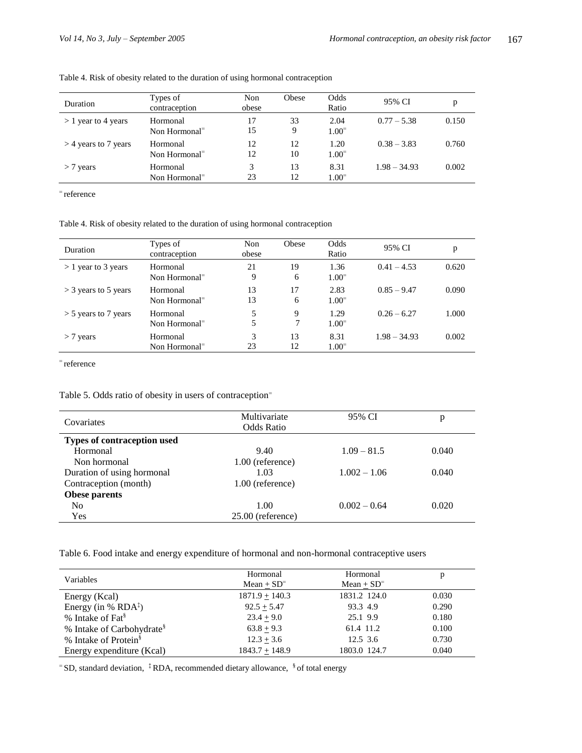| <b>Duration</b>        | Types of<br>contraception                          | Non<br>obese | Obese    | Odds<br>Ratio          | 95% CI         | D     |
|------------------------|----------------------------------------------------|--------------|----------|------------------------|----------------|-------|
| $> 1$ year to 4 years  | Hormonal<br>Non Hormonal <sup><math>=</math></sup> | 17<br>15     | 33<br>9  | 2.04<br>$1.00^{-}$     | $0.77 - 5.38$  | 0.150 |
| $>$ 4 years to 7 years | Hormonal<br>Non Hormonal <sup><math>=</math></sup> | 12<br>12     | 12<br>10 | 1.20<br>$1.00^{\circ}$ | $0.38 - 3.83$  | 0.760 |
| $>$ 7 years            | Hormonal<br>Non Hormonal <sup><math>=</math></sup> | 3<br>23      | 13<br>12 | 8.31<br>$1.00^{\circ}$ | $1.98 - 34.93$ | 0.002 |

Table 4. Risk of obesity related to the duration of using hormonal contraception

reference

Table 4. Risk of obesity related to the duration of using hormonal contraception

| <b>Duration</b>        | Types of<br>contraception                          | Non<br>obese | Obese    | Odds<br>Ratio          | 95% CI         | p     |
|------------------------|----------------------------------------------------|--------------|----------|------------------------|----------------|-------|
| $> 1$ year to 3 years  | Hormonal<br>Non Hormonal <sup><math>=</math></sup> | 21<br>9      | 19<br>6  | 1.36<br>$1.00^{\circ}$ | $0.41 - 4.53$  | 0.620 |
| $>$ 3 years to 5 years | Hormonal<br>Non Hormonal <sup><math>=</math></sup> | 13<br>13     | 17<br>6  | 2.83<br>$1.00^{\circ}$ | $0.85 - 9.47$  | 0.090 |
| $>$ 5 years to 7 years | Hormonal<br>Non Hormonal <sup><math>=</math></sup> | 5<br>5       | 9        | 1.29<br>$1.00^{\circ}$ | $0.26 - 6.27$  | 1.000 |
| $>$ 7 years            | Hormonal<br>Non Hormonal <sup><math>=</math></sup> | 3<br>23      | 13<br>12 | 8.31<br>$1.00^{\circ}$ | $1.98 - 34.93$ | 0.002 |

reference

Table 5. Odds ratio of obesity in users of contraception

| Covariates                  | Multivariate<br>Odds Ratio | 95% CI         | p     |
|-----------------------------|----------------------------|----------------|-------|
| Types of contraception used |                            |                |       |
| Hormonal                    | 9.40                       | $1.09 - 81.5$  | 0.040 |
| Non hormonal                | $1.00$ (reference)         |                |       |
| Duration of using hormonal  | 1.03                       | $1.002 - 1.06$ | 0.040 |
| Contraception (month)       | $1.00$ (reference)         |                |       |
| Obese parents               |                            |                |       |
| N <sub>o</sub>              | 1.00                       | $0.002 - 0.64$ | 0.020 |
| Yes                         | $25.00$ (reference)        |                |       |

Table 6. Food intake and energy expenditure of hormonal and non-hormonal contraceptive users

| Variables                                 | Hormonal         | Hormonal      | p     |
|-------------------------------------------|------------------|---------------|-------|
|                                           | $Mean + SD=$     | $Mean + SD=$  |       |
| Energy (Kcal)                             | $1871.9 + 140.3$ | 1831.2 124.0  | 0.030 |
| Energy (in % RDA $\text{\textsterling}$ ) | $92.5 + 5.47$    | 93.3 4.9      | 0.290 |
| % Intake of Fat <sup>§</sup>              | $23.4 + 9.0$     | 25.1 9.9      | 0.180 |
| % Intake of Carbohydrate <sup>§</sup>     | $63.8 + 9.3$     | 61.4 11.2     | 0.100 |
| % Intake of Protein <sup>§</sup>          | $12.3 + 3.6$     | $12.5 \; 3.6$ | 0.730 |
| Energy expenditure (Kcal)                 | $1843.7 + 148.9$ | 1803.0 124.7  | 0.040 |

 $\overline{S}$ SD, standard deviation,  $\overline{S}$  RDA, recommended dietary allowance,  $\overline{S}$  of total energy